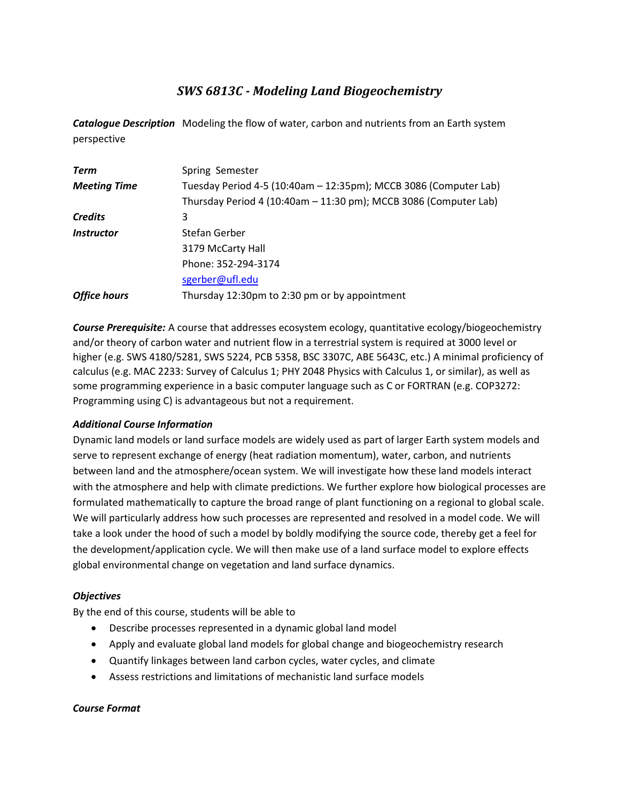# *SWS 6813C - Modeling Land Biogeochemistry*

*Catalogue Description* Modeling the flow of water, carbon and nutrients from an Earth system perspective

| Term                     | Spring Semester                                                  |  |
|--------------------------|------------------------------------------------------------------|--|
| <b>Meeting Time</b>      | Tuesday Period 4-5 (10:40am - 12:35pm); MCCB 3086 (Computer Lab) |  |
|                          | Thursday Period 4 (10:40am - 11:30 pm); MCCB 3086 (Computer Lab) |  |
| <b>Credits</b>           | 3                                                                |  |
| <i><b>Instructor</b></i> | Stefan Gerber                                                    |  |
|                          | 3179 McCarty Hall                                                |  |
|                          | Phone: 352-294-3174                                              |  |
|                          | sgerber@ufl.edu                                                  |  |
| <b>Office hours</b>      | Thursday 12:30pm to 2:30 pm or by appointment                    |  |

*Course Prerequisite:* A course that addresses ecosystem ecology, quantitative ecology/biogeochemistry and/or theory of carbon water and nutrient flow in a terrestrial system is required at 3000 level or higher (e.g. SWS 4180/5281, SWS 5224, PCB 5358, BSC 3307C, ABE 5643C, etc.) A minimal proficiency of calculus (e.g. MAC 2233: Survey of Calculus 1; PHY 2048 Physics with Calculus 1, or similar), as well as some programming experience in a basic computer language such as C or FORTRAN (e.g. COP3272: Programming using C) is advantageous but not a requirement.

# *Additional Course Information*

Dynamic land models or land surface models are widely used as part of larger Earth system models and serve to represent exchange of energy (heat radiation momentum), water, carbon, and nutrients between land and the atmosphere/ocean system. We will investigate how these land models interact with the atmosphere and help with climate predictions. We further explore how biological processes are formulated mathematically to capture the broad range of plant functioning on a regional to global scale. We will particularly address how such processes are represented and resolved in a model code. We will take a look under the hood of such a model by boldly modifying the source code, thereby get a feel for the development/application cycle. We will then make use of a land surface model to explore effects global environmental change on vegetation and land surface dynamics.

# *Objectives*

By the end of this course, students will be able to

- Describe processes represented in a dynamic global land model
- Apply and evaluate global land models for global change and biogeochemistry research
- Quantify linkages between land carbon cycles, water cycles, and climate
- Assess restrictions and limitations of mechanistic land surface models

#### *Course Format*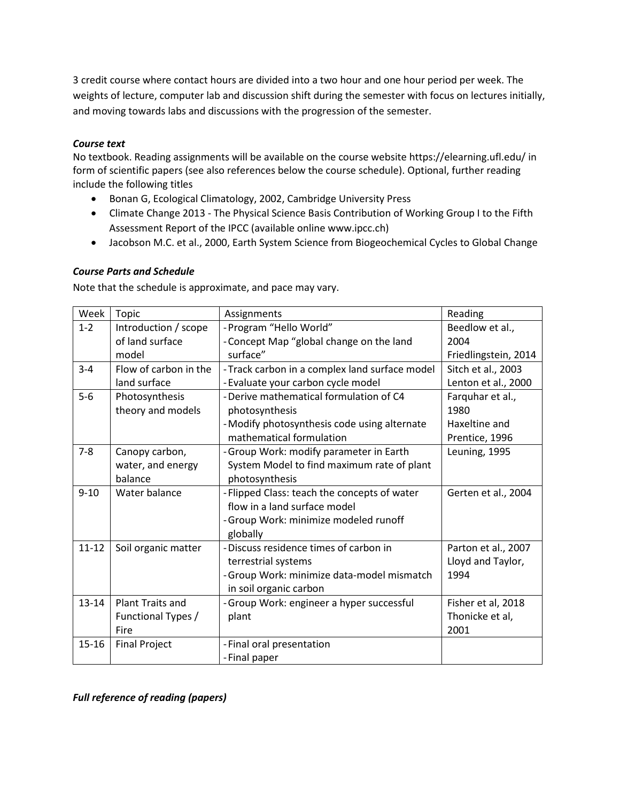3 credit course where contact hours are divided into a two hour and one hour period per week. The weights of lecture, computer lab and discussion shift during the semester with focus on lectures initially, and moving towards labs and discussions with the progression of the semester.

## *Course text*

No textbook. Reading assignments will be available on the course website https://elearning.ufl.edu/ in form of scientific papers (see also references below the course schedule). Optional, further reading include the following titles

- Bonan G, Ecological Climatology, 2002, Cambridge University Press
- Climate Change 2013 The Physical Science Basis Contribution of Working Group I to the Fifth Assessment Report of the IPCC (available online www.ipcc.ch)
- Jacobson M.C. et al., 2000, Earth System Science from Biogeochemical Cycles to Global Change

## *Course Parts and Schedule*

Note that the schedule is approximate, and pace may vary.

| Week      | <b>Topic</b>            | Assignments                                   | Reading              |
|-----------|-------------------------|-----------------------------------------------|----------------------|
| $1 - 2$   | Introduction / scope    | -Program "Hello World"                        | Beedlow et al.,      |
|           | of land surface         | -Concept Map "global change on the land       | 2004                 |
|           | model                   | surface"                                      | Friedlingstein, 2014 |
| $3 - 4$   | Flow of carbon in the   | -Track carbon in a complex land surface model | Sitch et al., 2003   |
|           | land surface            | - Evaluate your carbon cycle model            | Lenton et al., 2000  |
| $5-6$     | Photosynthesis          | - Derive mathematical formulation of C4       | Farquhar et al.,     |
|           | theory and models       | photosynthesis                                | 1980                 |
|           |                         | -Modify photosynthesis code using alternate   | Haxeltine and        |
|           |                         | mathematical formulation                      | Prentice, 1996       |
| $7 - 8$   | Canopy carbon,          | -Group Work: modify parameter in Earth        | Leuning, 1995        |
|           | water, and energy       | System Model to find maximum rate of plant    |                      |
|           | balance                 | photosynthesis                                |                      |
| $9 - 10$  | Water balance           | -Flipped Class: teach the concepts of water   | Gerten et al., 2004  |
|           |                         | flow in a land surface model                  |                      |
|           |                         | -Group Work: minimize modeled runoff          |                      |
|           |                         | globally                                      |                      |
| $11 - 12$ | Soil organic matter     | -Discuss residence times of carbon in         | Parton et al., 2007  |
|           |                         | terrestrial systems                           | Lloyd and Taylor,    |
|           |                         | -Group Work: minimize data-model mismatch     | 1994                 |
|           |                         | in soil organic carbon                        |                      |
| $13 - 14$ | <b>Plant Traits and</b> | -Group Work: engineer a hyper successful      | Fisher et al, 2018   |
|           | Functional Types /      | plant                                         | Thonicke et al,      |
|           | Fire                    |                                               | 2001                 |
| $15 - 16$ | <b>Final Project</b>    | -Final oral presentation                      |                      |
|           |                         | -Final paper                                  |                      |

*Full reference of reading (papers)*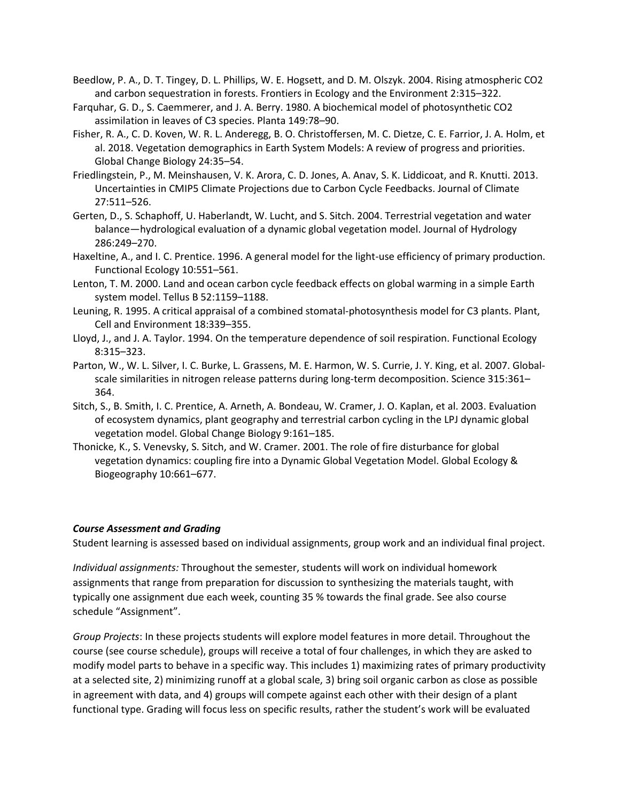- Beedlow, P. A., D. T. Tingey, D. L. Phillips, W. E. Hogsett, and D. M. Olszyk. 2004. Rising atmospheric CO2 and carbon sequestration in forests. Frontiers in Ecology and the Environment 2:315–322.
- Farquhar, G. D., S. Caemmerer, and J. A. Berry. 1980. A biochemical model of photosynthetic CO2 assimilation in leaves of C3 species. Planta 149:78–90.
- Fisher, R. A., C. D. Koven, W. R. L. Anderegg, B. O. Christoffersen, M. C. Dietze, C. E. Farrior, J. A. Holm, et al. 2018. Vegetation demographics in Earth System Models: A review of progress and priorities. Global Change Biology 24:35–54.
- Friedlingstein, P., M. Meinshausen, V. K. Arora, C. D. Jones, A. Anav, S. K. Liddicoat, and R. Knutti. 2013. Uncertainties in CMIP5 Climate Projections due to Carbon Cycle Feedbacks. Journal of Climate 27:511–526.
- Gerten, D., S. Schaphoff, U. Haberlandt, W. Lucht, and S. Sitch. 2004. Terrestrial vegetation and water balance—hydrological evaluation of a dynamic global vegetation model. Journal of Hydrology 286:249–270.
- Haxeltine, A., and I. C. Prentice. 1996. A general model for the light-use efficiency of primary production. Functional Ecology 10:551–561.
- Lenton, T. M. 2000. Land and ocean carbon cycle feedback effects on global warming in a simple Earth system model. Tellus B 52:1159–1188.
- Leuning, R. 1995. A critical appraisal of a combined stomatal-photosynthesis model for C3 plants. Plant, Cell and Environment 18:339–355.
- Lloyd, J., and J. A. Taylor. 1994. On the temperature dependence of soil respiration. Functional Ecology 8:315–323.
- Parton, W., W. L. Silver, I. C. Burke, L. Grassens, M. E. Harmon, W. S. Currie, J. Y. King, et al. 2007. Globalscale similarities in nitrogen release patterns during long-term decomposition. Science 315:361– 364.
- Sitch, S., B. Smith, I. C. Prentice, A. Arneth, A. Bondeau, W. Cramer, J. O. Kaplan, et al. 2003. Evaluation of ecosystem dynamics, plant geography and terrestrial carbon cycling in the LPJ dynamic global vegetation model. Global Change Biology 9:161–185.
- Thonicke, K., S. Venevsky, S. Sitch, and W. Cramer. 2001. The role of fire disturbance for global vegetation dynamics: coupling fire into a Dynamic Global Vegetation Model. Global Ecology & Biogeography 10:661–677.

#### *Course Assessment and Grading*

Student learning is assessed based on individual assignments, group work and an individual final project.

*Individual assignments:* Throughout the semester, students will work on individual homework assignments that range from preparation for discussion to synthesizing the materials taught, with typically one assignment due each week, counting 35 % towards the final grade. See also course schedule "Assignment".

*Group Projects*: In these projects students will explore model features in more detail. Throughout the course (see course schedule), groups will receive a total of four challenges, in which they are asked to modify model parts to behave in a specific way. This includes 1) maximizing rates of primary productivity at a selected site, 2) minimizing runoff at a global scale, 3) bring soil organic carbon as close as possible in agreement with data, and 4) groups will compete against each other with their design of a plant functional type. Grading will focus less on specific results, rather the student's work will be evaluated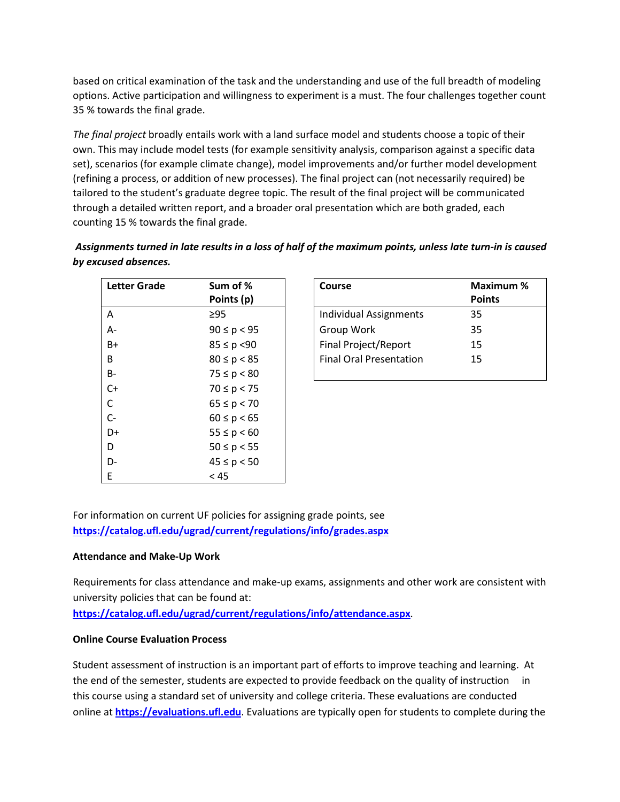based on critical examination of the task and the understanding and use of the full breadth of modeling options. Active participation and willingness to experiment is a must. The four challenges together count 35 % towards the final grade.

*The final project* broadly entails work with a land surface model and students choose a topic of their own. This may include model tests (for example sensitivity analysis, comparison against a specific data set), scenarios (for example climate change), model improvements and/or further model development (refining a process, or addition of new processes). The final project can (not necessarily required) be tailored to the student's graduate degree topic. The result of the final project will be communicated through a detailed written report, and a broader oral presentation which are both graded, each counting 15 % towards the final grade.

*Assignments turned in late results in a loss of half of the maximum points, unless late turn-in is caused by excused absences.*

| <b>Letter Grade</b> | Sum of %        | Course                         | M  |
|---------------------|-----------------|--------------------------------|----|
|                     | Points (p)      |                                | Po |
| A                   | $\geq$ 95       | <b>Individual Assignments</b>  | 35 |
| A-                  | $90 \le p < 95$ | Group Work                     | 35 |
| $B+$                | $85 \le p < 90$ | <b>Final Project/Report</b>    | 15 |
| B                   | $80 \le p < 85$ | <b>Final Oral Presentation</b> | 15 |
| B-                  | $75 \le p < 80$ |                                |    |
| $C+$                | $70 \le p < 75$ |                                |    |
| $\mathsf C$         | $65 \le p < 70$ |                                |    |
| $C-$                | $60 \le p < 65$ |                                |    |
| D+                  | $55 \le p < 60$ |                                |    |
| D                   | $50 \le p < 55$ |                                |    |
| D-                  | $45 \le p < 50$ |                                |    |
| E                   | < 45            |                                |    |

| Course                         | <b>Maximum %</b> |
|--------------------------------|------------------|
|                                | <b>Points</b>    |
| <b>Individual Assignments</b>  | 35               |
| Group Work                     | 35               |
| Final Project/Report           | 15               |
| <b>Final Oral Presentation</b> | 15               |
|                                |                  |

For information on current UF policies for assigning grade points, see **<https://catalog.ufl.edu/ugrad/current/regulations/info/grades.aspx>**

#### **Attendance and Make-Up Work**

Requirements for class attendance and make-up exams, assignments and other work are consistent with university policies that can be found at:

**<https://catalog.ufl.edu/ugrad/current/regulations/info/attendance.aspx>**.

#### **Online Course Evaluation Process**

Student assessment of instruction is an important part of efforts to improve teaching and learning. At the end of the semester, students are expected to provide feedback on the quality of instruction in this course using a standard set of university and college criteria. These evaluations are conducted online at **[https://evaluations.ufl.edu](https://evaluations.ufl.edu/)**. Evaluations are typically open for students to complete during the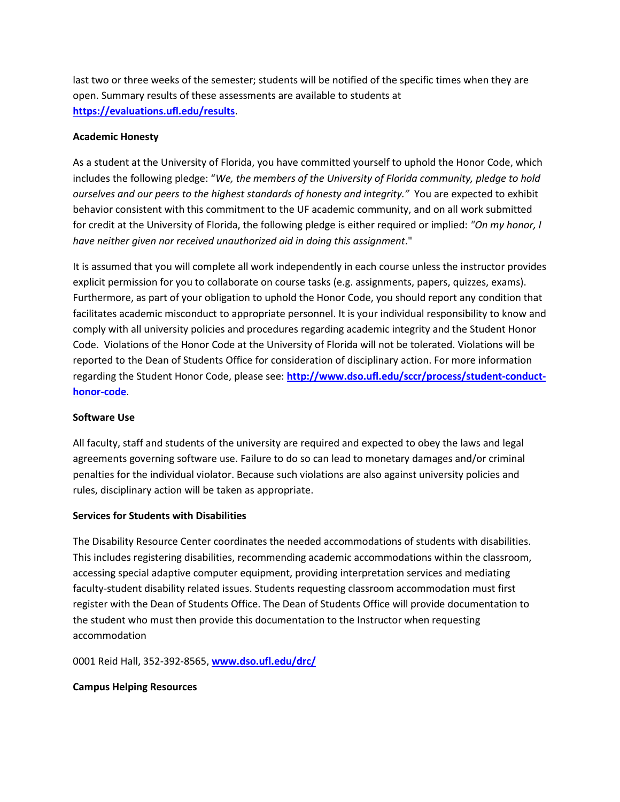last two or three weeks of the semester; students will be notified of the specific times when they are open. Summary results of these assessments are available to students at **<https://evaluations.ufl.edu/results>**.

## **Academic Honesty**

As a student at the University of Florida, you have committed yourself to uphold the Honor Code, which includes the following pledge: "*We, the members of the University of Florida community, pledge to hold ourselves and our peers to the highest standards of honesty and integrity."* You are expected to exhibit behavior consistent with this commitment to the UF academic community, and on all work submitted for credit at the University of Florida, the following pledge is either required or implied: *"On my honor, I have neither given nor received unauthorized aid in doing this assignment*."

It is assumed that you will complete all work independently in each course unless the instructor provides explicit permission for you to collaborate on course tasks (e.g. assignments, papers, quizzes, exams). Furthermore, as part of your obligation to uphold the Honor Code, you should report any condition that facilitates academic misconduct to appropriate personnel. It is your individual responsibility to know and comply with all university policies and procedures regarding academic integrity and the Student Honor Code. Violations of the Honor Code at the University of Florida will not be tolerated. Violations will be reported to the Dean of Students Office for consideration of disciplinary action. For more information regarding the Student Honor Code, please see: **[http://www.dso.ufl.edu/sccr/process/student-conduct](http://www.dso.ufl.edu/sccr/process/student-conduct-honor-code)[honor-code](http://www.dso.ufl.edu/sccr/process/student-conduct-honor-code)**.

#### **Software Use**

All faculty, staff and students of the university are required and expected to obey the laws and legal agreements governing software use. Failure to do so can lead to monetary damages and/or criminal penalties for the individual violator. Because such violations are also against university policies and rules, disciplinary action will be taken as appropriate.

#### **Services for Students with Disabilities**

The Disability Resource Center coordinates the needed accommodations of students with disabilities. This includes registering disabilities, recommending academic accommodations within the classroom, accessing special adaptive computer equipment, providing interpretation services and mediating faculty-student disability related issues. Students requesting classroom accommodation must first register with the Dean of Students Office. The Dean of Students Office will provide documentation to the student who must then provide this documentation to the Instructor when requesting accommodation

0001 Reid Hall, 352-392-8565, **[www.dso.ufl.edu/drc/](http://www.dso.ufl.edu/drc/)**

#### **Campus Helping Resources**